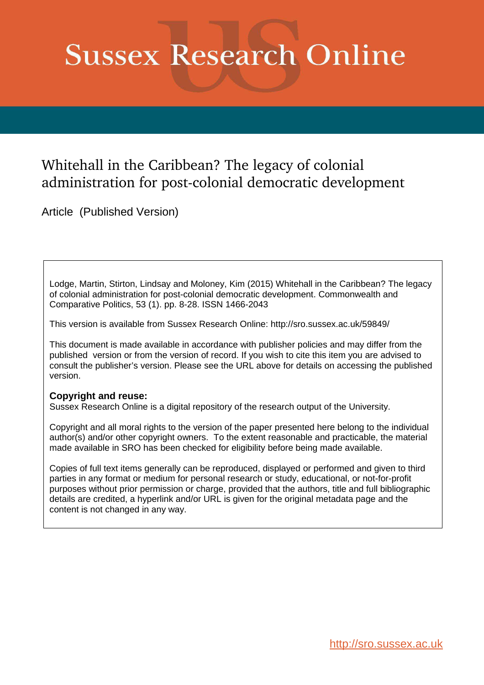# **Sussex Research Online**

## Whitehall in the Caribbean? The legacy of colonial administration for post-colonial democratic development

Article (Published Version)

Lodge, Martin, Stirton, Lindsay and Moloney, Kim (2015) Whitehall in the Caribbean? The legacy of colonial administration for post-colonial democratic development. Commonwealth and Comparative Politics, 53 (1). pp. 8-28. ISSN 1466-2043

This version is available from Sussex Research Online: http://sro.sussex.ac.uk/59849/

This document is made available in accordance with publisher policies and may differ from the published version or from the version of record. If you wish to cite this item you are advised to consult the publisher's version. Please see the URL above for details on accessing the published version.

## **Copyright and reuse:**

Sussex Research Online is a digital repository of the research output of the University.

Copyright and all moral rights to the version of the paper presented here belong to the individual author(s) and/or other copyright owners. To the extent reasonable and practicable, the material made available in SRO has been checked for eligibility before being made available.

Copies of full text items generally can be reproduced, displayed or performed and given to third parties in any format or medium for personal research or study, educational, or not-for-profit purposes without prior permission or charge, provided that the authors, title and full bibliographic details are credited, a hyperlink and/or URL is given for the original metadata page and the content is not changed in any way.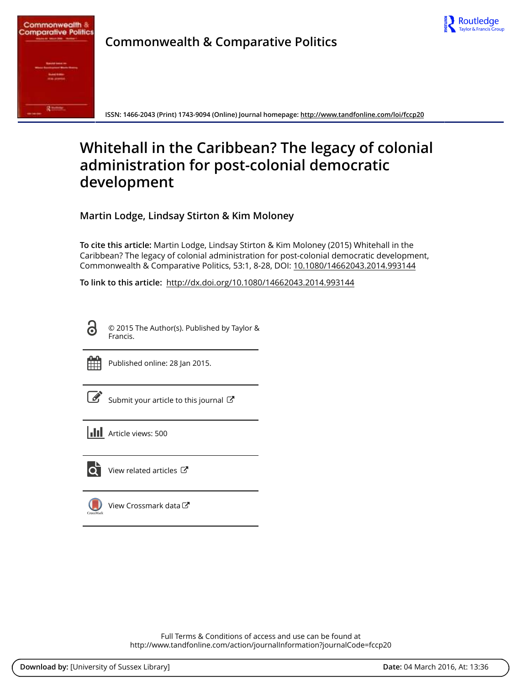

<span id="page-1-0"></span>

**Commonwealth & Comparative Politics**

**ISSN: 1466-2043 (Print) 1743-9094 (Online) Journal homepage:<http://www.tandfonline.com/loi/fccp20>**

# **Whitehall in the Caribbean? The legacy of colonial administration for post-colonial democratic development**

**Martin Lodge, Lindsay Stirton & Kim Moloney**

**To cite this article:** Martin Lodge, Lindsay Stirton & Kim Moloney (2015) Whitehall in the Caribbean? The legacy of colonial administration for post-colonial democratic development, Commonwealth & Comparative Politics, 53:1, 8-28, DOI: [10.1080/14662043.2014.993144](http://www.tandfonline.com/action/showCitFormats?doi=10.1080/14662043.2014.993144)

**To link to this article:** <http://dx.doi.org/10.1080/14662043.2014.993144>

ര

© 2015 The Author(s). Published by Taylor & Francis.



Published online: 28 Jan 2015.

[Submit your article to this journal](http://www.tandfonline.com/action/authorSubmission?journalCode=fccp20&page=instructions)  $\mathbb{Z}$ 

**III** Article views: 500



 $\overline{Q}$  [View related articles](http://www.tandfonline.com/doi/mlt/10.1080/14662043.2014.993144)  $\overline{C}$ 

[View Crossmark data](http://crossmark.crossref.org/dialog/?doi=10.1080/14662043.2014.993144&domain=pdf&date_stamp=2015-01-28)

Full Terms & Conditions of access and use can be found at <http://www.tandfonline.com/action/journalInformation?journalCode=fccp20>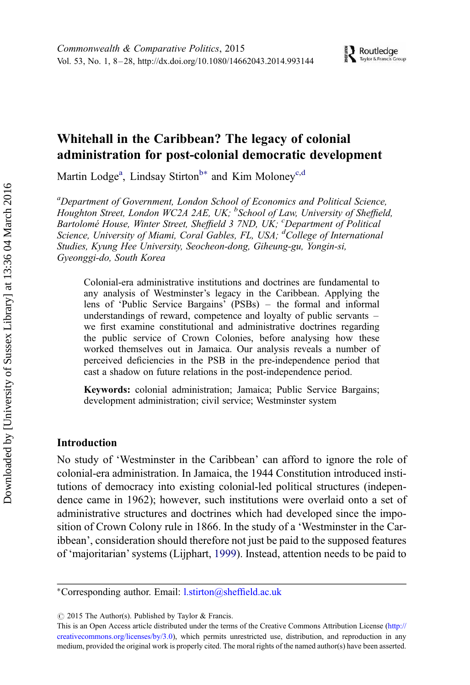### Whitehall in the Caribbean? The legacy of colonial administration for post-colonial democratic development

M[a](#page-1-0)rtin Lodge<sup>a</sup>, Lindsay Stirton<sup>[b](#page-1-0)\*</sup> and Kim Moloney<sup>[c](#page-1-0),[d](#page-1-0)</sup>

*<sup>a</sup>Department of Government, London School of Economics and Political Science, Houghton Street, London WC2A 2AE, UK; <sup>b</sup> School of Law, University of Sheffield, Bartolome´ House, Winter Street, Sheffield 3 7ND, UK; <sup>c</sup>Department of Political Science, University of Miami, Coral Gables, FL, USA; <sup>d</sup>College of International Studies, Kyung Hee University, Seocheon-dong, Giheung-gu, Yongin-si, Gyeonggi-do, South Korea*

Colonial-era administrative institutions and doctrines are fundamental to any analysis of Westminster's legacy in the Caribbean. Applying the lens of 'Public Service Bargains' (PSBs) – the formal and informal understandings of reward, competence and loyalty of public servants – we first examine constitutional and administrative doctrines regarding the public service of Crown Colonies, before analysing how these worked themselves out in Jamaica. Our analysis reveals a number of perceived deficiencies in the PSB in the pre-independence period that cast a shadow on future relations in the post-independence period.

Keywords: colonial administration; Jamaica; Public Service Bargains; development administration; civil service; Westminster system

#### Introduction

No study of 'Westminster in the Caribbean' can afford to ignore the role of colonial-era administration. In Jamaica, the 1944 Constitution introduced institutions of democracy into existing colonial-led political structures (independence came in 1962); however, such institutions were overlaid onto a set of administrative structures and doctrines which had developed since the imposition of Crown Colony rule in 1866. In the study of a 'Westminster in the Caribbean', consideration should therefore not just be paid to the supposed features of 'majoritarian' systems (Lijphart, [1999](#page-20-0)). Instead, attention needs to be paid to

<sup>∗</sup>Corresponding author. Email: [l.stirton@sheffield.ac.uk](mailto:l.stirton@sheffield.ac.uk)

 $\circ$  2015 The Author(s). Published by Taylor & Francis.

This is an Open Access article distributed under the terms of the Creative Commons Attribution License [\(http://](http://creativecommons.org/licenses/by/3.0) [creativecommons.org/licenses/by/3.0](http://creativecommons.org/licenses/by/3.0)), which permits unrestricted use, distribution, and reproduction in any medium, provided the original work is properly cited. The moral rights of the named author(s) have been asserted.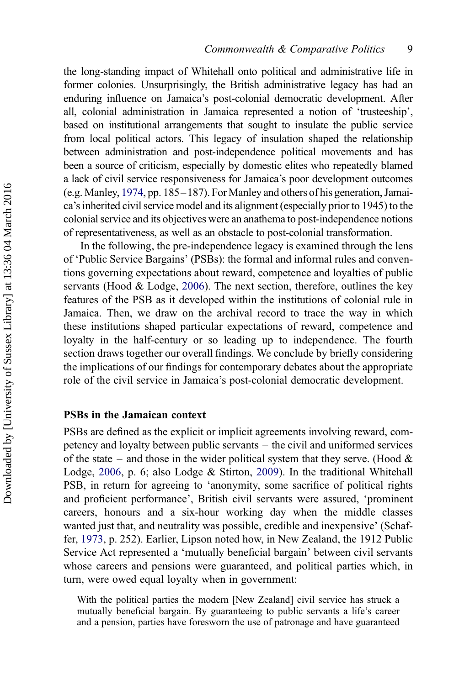the long-standing impact of Whitehall onto political and administrative life in former colonies. Unsurprisingly, the British administrative legacy has had an enduring influence on Jamaica's post-colonial democratic development. After all, colonial administration in Jamaica represented a notion of 'trusteeship', based on institutional arrangements that sought to insulate the public service from local political actors. This legacy of insulation shaped the relationship between administration and post-independence political movements and has been a source of criticism, especially by domestic elites who repeatedly blamed a lack of civil service responsiveness for Jamaica's poor development outcomes (e.g. Manley, [1974,](#page-20-0) pp. 185–187). For Manley and others of his generation, Jamaica's inherited civil service model and its alignment (especially prior to 1945) to the colonial service and its objectives were an anathema to post-independence notions of representativeness, as well as an obstacle to post-colonial transformation.

In the following, the pre-independence legacy is examined through the lens of 'Public Service Bargains' (PSBs): the formal and informal rules and conventions governing expectations about reward, competence and loyalties of public servants (Hood & Lodge, [2006](#page-20-0)). The next section, therefore, outlines the key features of the PSB as it developed within the institutions of colonial rule in Jamaica. Then, we draw on the archival record to trace the way in which these institutions shaped particular expectations of reward, competence and loyalty in the half-century or so leading up to independence. The fourth section draws together our overall findings. We conclude by briefly considering the implications of our findings for contemporary debates about the appropriate role of the civil service in Jamaica's post-colonial democratic development.

#### PSBs in the Jamaican context

PSBs are defined as the explicit or implicit agreements involving reward, competency and loyalty between public servants – the civil and uniformed services of the state – and those in the wider political system that they serve. (Hood  $\&$ Lodge, [2006](#page-20-0), p. 6; also Lodge & Stirton, [2009\)](#page-20-0). In the traditional Whitehall PSB, in return for agreeing to 'anonymity, some sacrifice of political rights and proficient performance', British civil servants were assured, 'prominent careers, honours and a six-hour working day when the middle classes wanted just that, and neutrality was possible, credible and inexpensive' (Schaffer, [1973](#page-21-0), p. 252). Earlier, Lipson noted how, in New Zealand, the 1912 Public Service Act represented a 'mutually beneficial bargain' between civil servants whose careers and pensions were guaranteed, and political parties which, in turn, were owed equal loyalty when in government:

With the political parties the modern [New Zealand] civil service has struck a mutually beneficial bargain. By guaranteeing to public servants a life's career and a pension, parties have foresworn the use of patronage and have guaranteed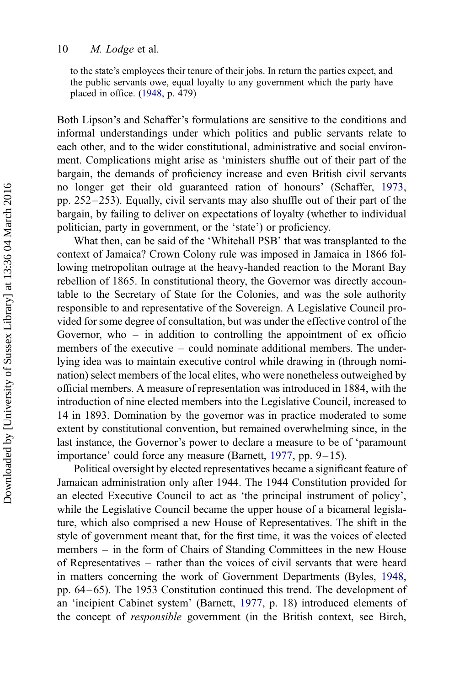to the state's employees their tenure of their jobs. In return the parties expect, and the public servants owe, equal loyalty to any government which the party have placed in office. [\(1948](#page-20-0), p. 479)

Both Lipson's and Schaffer's formulations are sensitive to the conditions and informal understandings under which politics and public servants relate to each other, and to the wider constitutional, administrative and social environment. Complications might arise as 'ministers shuffle out of their part of the bargain, the demands of proficiency increase and even British civil servants no longer get their old guaranteed ration of honours' (Schaffer, [1973](#page-21-0), pp. 252– 253). Equally, civil servants may also shuffle out of their part of the bargain, by failing to deliver on expectations of loyalty (whether to individual politician, party in government, or the 'state') or proficiency.

What then, can be said of the 'Whitehall PSB' that was transplanted to the context of Jamaica? Crown Colony rule was imposed in Jamaica in 1866 following metropolitan outrage at the heavy-handed reaction to the Morant Bay rebellion of 1865. In constitutional theory, the Governor was directly accountable to the Secretary of State for the Colonies, and was the sole authority responsible to and representative of the Sovereign. A Legislative Council provided for some degree of consultation, but was under the effective control of the Governor, who  $-$  in addition to controlling the appointment of  $ex$  officio members of the executive – could nominate additional members. The underlying idea was to maintain executive control while drawing in (through nomination) select members of the local elites, who were nonetheless outweighed by official members. A measure of representation was introduced in 1884, with the introduction of nine elected members into the Legislative Council, increased to 14 in 1893. Domination by the governor was in practice moderated to some extent by constitutional convention, but remained overwhelming since, in the last instance, the Governor's power to declare a measure to be of 'paramount importance' could force any measure (Barnett, [1977](#page-20-0), pp. 9–15).

Political oversight by elected representatives became a significant feature of Jamaican administration only after 1944. The 1944 Constitution provided for an elected Executive Council to act as 'the principal instrument of policy', while the Legislative Council became the upper house of a bicameral legislature, which also comprised a new House of Representatives. The shift in the style of government meant that, for the first time, it was the voices of elected members – in the form of Chairs of Standing Committees in the new House of Representatives – rather than the voices of civil servants that were heard in matters concerning the work of Government Departments (Byles, [1948](#page-20-0), pp. 64– 65). The 1953 Constitution continued this trend. The development of an 'incipient Cabinet system' (Barnett, [1977](#page-20-0), p. 18) introduced elements of the concept of *responsible* government (in the British context, see Birch,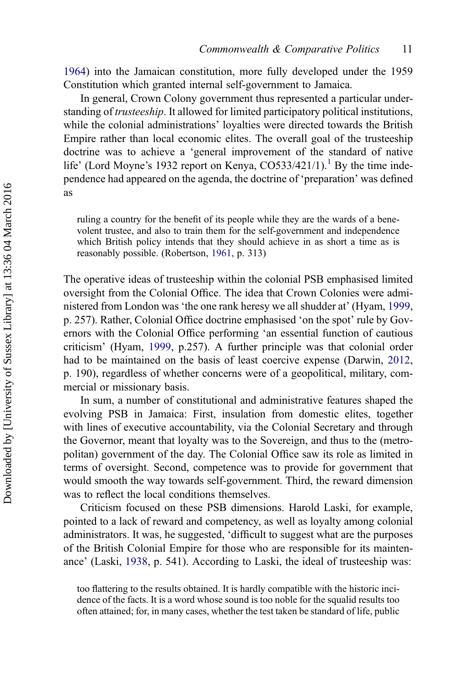[1964\)](#page-20-0) into the Jamaican constitution, more fully developed under the 1959 Constitution which granted internal self-government to Jamaica.

In general, Crown Colony government thus represented a particular understanding of *trusteeship*. It allowed for limited participatory political institutions, while the colonial administrations' loyalties were directed towards the British Empire rather than local economic elites. The overall goal of the trusteeship doctrine was to achieve a 'general improvement of the standard of native life' (Lord Moyne's [1](#page-19-0)932 report on Kenya, CO533/421/1).<sup>1</sup> By the time independence had appeared on the agenda, the doctrine of 'preparation' was defined as

ruling a country for the benefit of its people while they are the wards of a benevolent trustee, and also to train them for the self-government and independence which British policy intends that they should achieve in as short a time as is reasonably possible. (Robertson, [1961,](#page-20-0) p. 313)

The operative ideas of trusteeship within the colonial PSB emphasised limited oversight from the Colonial Office. The idea that Crown Colonies were administered from London was 'the one rank heresy we all shudder at' (Hyam, [1999](#page-20-0), p. 257). Rather, Colonial Office doctrine emphasised 'on the spot' rule by Governors with the Colonial Office performing 'an essential function of cautious criticism' (Hyam, [1999,](#page-20-0) p.257). A further principle was that colonial order had to be maintained on the basis of least coercive expense (Darwin, [2012](#page-20-0), p. 190), regardless of whether concerns were of a geopolitical, military, commercial or missionary basis.

In sum, a number of constitutional and administrative features shaped the evolving PSB in Jamaica: First, insulation from domestic elites, together with lines of executive accountability, via the Colonial Secretary and through the Governor, meant that loyalty was to the Sovereign, and thus to the (metropolitan) government of the day. The Colonial Office saw its role as limited in terms of oversight. Second, competence was to provide for government that would smooth the way towards self-government. Third, the reward dimension was to reflect the local conditions themselves.

Criticism focused on these PSB dimensions. Harold Laski, for example, pointed to a lack of reward and competency, as well as loyalty among colonial administrators. It was, he suggested, 'difficult to suggest what are the purposes of the British Colonial Empire for those who are responsible for its maintenance' (Laski, [1938,](#page-20-0) p. 541). According to Laski, the ideal of trusteeship was:

too flattering to the results obtained. It is hardly compatible with the historic incidence of the facts. It is a word whose sound is too noble for the squalid results too often attained; for, in many cases, whether the test taken be standard of life, public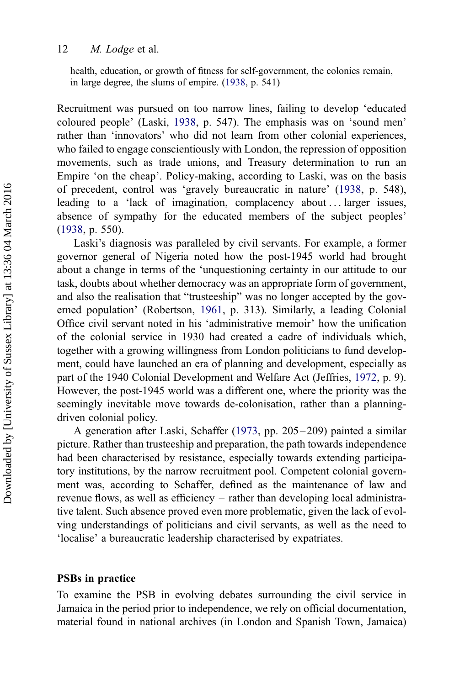health, education, or growth of fitness for self-government, the colonies remain, in large degree, the slums of empire. [\(1938](#page-20-0), p. 541)

Recruitment was pursued on too narrow lines, failing to develop 'educated coloured people' (Laski, [1938,](#page-20-0) p. 547). The emphasis was on 'sound men' rather than 'innovators' who did not learn from other colonial experiences, who failed to engage conscientiously with London, the repression of opposition movements, such as trade unions, and Treasury determination to run an Empire 'on the cheap'. Policy-making, according to Laski, was on the basis of precedent, control was 'gravely bureaucratic in nature' [\(1938](#page-20-0), p. 548), leading to a 'lack of imagination, complacency about ... larger issues, absence of sympathy for the educated members of the subject peoples' [\(1938](#page-20-0), p. 550).

Laski's diagnosis was paralleled by civil servants. For example, a former governor general of Nigeria noted how the post-1945 world had brought about a change in terms of the 'unquestioning certainty in our attitude to our task, doubts about whether democracy was an appropriate form of government, and also the realisation that "trusteeship" was no longer accepted by the governed population' (Robertson, [1961,](#page-20-0) p. 313). Similarly, a leading Colonial Office civil servant noted in his 'administrative memoir' how the unification of the colonial service in 1930 had created a cadre of individuals which, together with a growing willingness from London politicians to fund development, could have launched an era of planning and development, especially as part of the 1940 Colonial Development and Welfare Act (Jeffries, [1972](#page-20-0), p. 9). However, the post-1945 world was a different one, where the priority was the seemingly inevitable move towards de-colonisation, rather than a planningdriven colonial policy.

A generation after Laski, Schaffer [\(1973](#page-21-0), pp. 205 – 209) painted a similar picture. Rather than trusteeship and preparation, the path towards independence had been characterised by resistance, especially towards extending participatory institutions, by the narrow recruitment pool. Competent colonial government was, according to Schaffer, defined as the maintenance of law and revenue flows, as well as efficiency – rather than developing local administrative talent. Such absence proved even more problematic, given the lack of evolving understandings of politicians and civil servants, as well as the need to 'localise' a bureaucratic leadership characterised by expatriates.

#### PSBs in practice

To examine the PSB in evolving debates surrounding the civil service in Jamaica in the period prior to independence, we rely on official documentation, material found in national archives (in London and Spanish Town, Jamaica)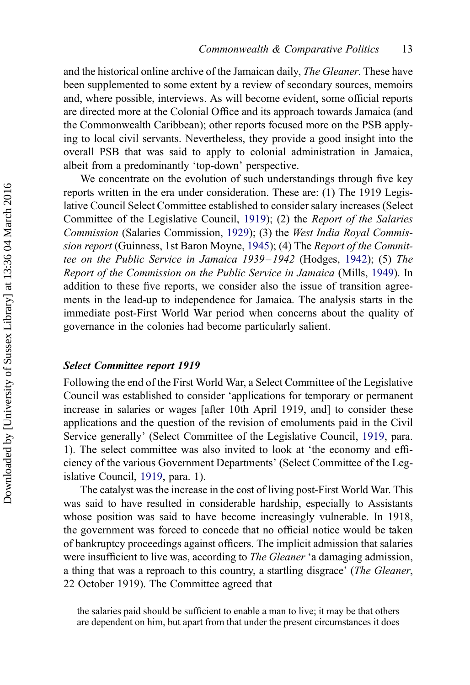and the historical online archive of the Jamaican daily, *The Gleaner*. These have been supplemented to some extent by a review of secondary sources, memoirs and, where possible, interviews. As will become evident, some official reports are directed more at the Colonial Office and its approach towards Jamaica (and the Commonwealth Caribbean); other reports focused more on the PSB applying to local civil servants. Nevertheless, they provide a good insight into the overall PSB that was said to apply to colonial administration in Jamaica, albeit from a predominantly 'top-down' perspective.

We concentrate on the evolution of such understandings through five key reports written in the era under consideration. These are: (1) The 1919 Legislative Council Select Committee established to consider salary increases (Select Committee of the Legislative Council, [1919\)](#page-21-0); (2) the *Report of the Salaries Commission* (Salaries Commission, [1929](#page-21-0)); (3) the *West India Royal Commission report* (Guinness, 1st Baron Moyne, [1945\)](#page-20-0); (4) The *Report of the Committee on the Public Service in Jamaica 1939– 1942* (Hodges, [1942\)](#page-20-0); (5) *The Report of the Commission on the Public Service in Jamaica* (Mills, [1949\)](#page-20-0). In addition to these five reports, we consider also the issue of transition agreements in the lead-up to independence for Jamaica. The analysis starts in the immediate post-First World War period when concerns about the quality of governance in the colonies had become particularly salient.

#### Select Committee report 1919

Following the end of the First World War, a Select Committee of the Legislative Council was established to consider 'applications for temporary or permanent increase in salaries or wages [after 10th April 1919, and] to consider these applications and the question of the revision of emoluments paid in the Civil Service generally' (Select Committee of the Legislative Council, [1919](#page-21-0), para. 1). The select committee was also invited to look at 'the economy and efficiency of the various Government Departments' (Select Committee of the Legislative Council, [1919](#page-21-0), para. 1).

The catalyst was the increase in the cost of living post-First World War. This was said to have resulted in considerable hardship, especially to Assistants whose position was said to have become increasingly vulnerable. In 1918, the government was forced to concede that no official notice would be taken of bankruptcy proceedings against officers. The implicit admission that salaries were insufficient to live was, according to *The Gleaner* 'a damaging admission, a thing that was a reproach to this country, a startling disgrace' (*The Gleaner*, 22 October 1919). The Committee agreed that

the salaries paid should be sufficient to enable a man to live; it may be that others are dependent on him, but apart from that under the present circumstances it does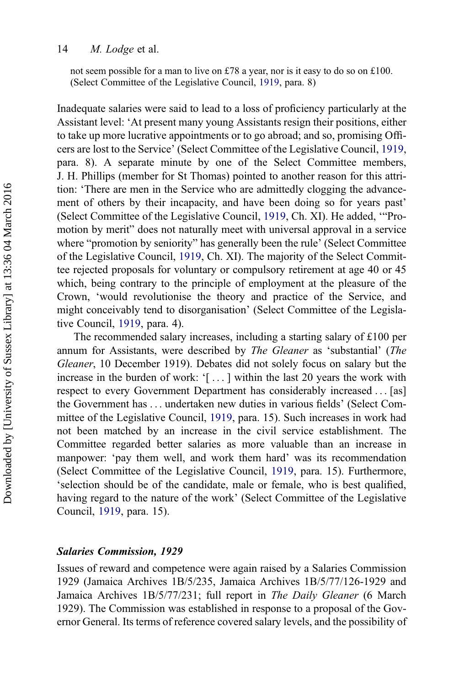not seem possible for a man to live on £78 a year, nor is it easy to do so on £100. (Select Committee of the Legislative Council, [1919](#page-21-0), para. 8)

Inadequate salaries were said to lead to a loss of proficiency particularly at the Assistant level: 'At present many young Assistants resign their positions, either to take up more lucrative appointments or to go abroad; and so, promising Officers are lost to the Service' (Select Committee of the Legislative Council, [1919](#page-21-0), para. 8). A separate minute by one of the Select Committee members, J. H. Phillips (member for St Thomas) pointed to another reason for this attrition: 'There are men in the Service who are admittedly clogging the advancement of others by their incapacity, and have been doing so for years past' (Select Committee of the Legislative Council, [1919](#page-21-0), Ch. XI). He added, '"Promotion by merit" does not naturally meet with universal approval in a service where "promotion by seniority" has generally been the rule' (Select Committee of the Legislative Council, [1919,](#page-21-0) Ch. XI). The majority of the Select Committee rejected proposals for voluntary or compulsory retirement at age 40 or 45 which, being contrary to the principle of employment at the pleasure of the Crown, 'would revolutionise the theory and practice of the Service, and might conceivably tend to disorganisation' (Select Committee of the Legislative Council, [1919,](#page-21-0) para. 4).

The recommended salary increases, including a starting salary of £100 per annum for Assistants, were described by *The Gleaner* as 'substantial' (*The Gleaner*, 10 December 1919). Debates did not solely focus on salary but the increase in the burden of work: '[ ... ] within the last 20 years the work with respect to every Government Department has considerably increased ... [as] the Government has ... undertaken new duties in various fields' (Select Committee of the Legislative Council, [1919](#page-21-0), para. 15). Such increases in work had not been matched by an increase in the civil service establishment. The Committee regarded better salaries as more valuable than an increase in manpower: 'pay them well, and work them hard' was its recommendation (Select Committee of the Legislative Council, [1919](#page-21-0), para. 15). Furthermore, 'selection should be of the candidate, male or female, who is best qualified, having regard to the nature of the work' (Select Committee of the Legislative Council, [1919,](#page-21-0) para. 15).

#### Salaries Commission, 1929

Issues of reward and competence were again raised by a Salaries Commission 1929 (Jamaica Archives 1B/5/235, Jamaica Archives 1B/5/77/126-1929 and Jamaica Archives 1B/5/77/231; full report in *The Daily Gleaner* (6 March 1929). The Commission was established in response to a proposal of the Governor General. Its terms of reference covered salary levels, and the possibility of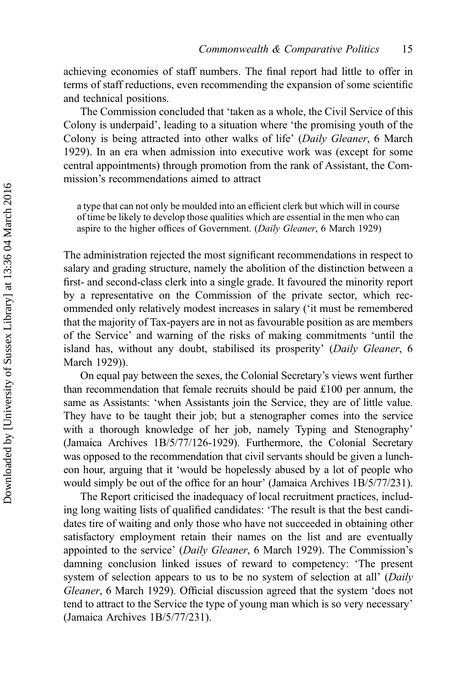achieving economies of staff numbers. The final report had little to offer in terms of staff reductions, even recommending the expansion of some scientific and technical positions.

The Commission concluded that 'taken as a whole, the Civil Service of this Colony is underpaid', leading to a situation where 'the promising youth of the Colony is being attracted into other walks of life' (*Daily Gleaner*, 6 March 1929). In an era when admission into executive work was (except for some central appointments) through promotion from the rank of Assistant, the Commission's recommendations aimed to attract

a type that can not only be moulded into an efficient clerk but which will in course of time be likely to develop those qualities which are essential in the men who can aspire to the higher offices of Government. (*Daily Gleaner*, 6 March 1929)

The administration rejected the most significant recommendations in respect to salary and grading structure, namely the abolition of the distinction between a first- and second-class clerk into a single grade. It favoured the minority report by a representative on the Commission of the private sector, which recommended only relatively modest increases in salary ('it must be remembered that the majority of Tax-payers are in not as favourable position as are members of the Service' and warning of the risks of making commitments 'until the island has, without any doubt, stabilised its prosperity' (*Daily Gleaner*, 6 March 1929)).

On equal pay between the sexes, the Colonial Secretary's views went further than recommendation that female recruits should be paid £100 per annum, the same as Assistants: 'when Assistants join the Service, they are of little value. They have to be taught their job; but a stenographer comes into the service with a thorough knowledge of her job, namely Typing and Stenography' (Jamaica Archives 1B/5/77/126-1929). Furthermore, the Colonial Secretary was opposed to the recommendation that civil servants should be given a luncheon hour, arguing that it 'would be hopelessly abused by a lot of people who would simply be out of the office for an hour' (Jamaica Archives 1B/5/77/231).

The Report criticised the inadequacy of local recruitment practices, including long waiting lists of qualified candidates: 'The result is that the best candidates tire of waiting and only those who have not succeeded in obtaining other satisfactory employment retain their names on the list and are eventually appointed to the service' (*Daily Gleaner*, 6 March 1929). The Commission's damning conclusion linked issues of reward to competency: 'The present system of selection appears to us to be no system of selection at all' (*Daily Gleaner*, 6 March 1929). Official discussion agreed that the system 'does not tend to attract to the Service the type of young man which is so very necessary' (Jamaica Archives 1B/5/77/231).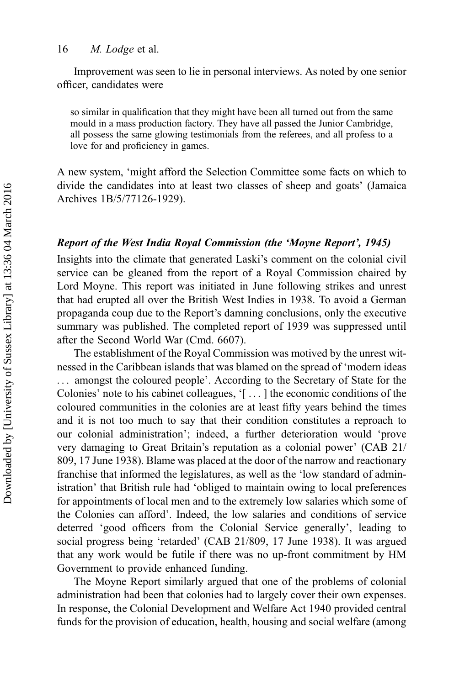Improvement was seen to lie in personal interviews. As noted by one senior officer, candidates were

so similar in qualification that they might have been all turned out from the same mould in a mass production factory. They have all passed the Junior Cambridge, all possess the same glowing testimonials from the referees, and all profess to a love for and proficiency in games.

A new system, 'might afford the Selection Committee some facts on which to divide the candidates into at least two classes of sheep and goats' (Jamaica Archives 1B/5/77126-1929).

#### Report of the West India Royal Commission (the 'Moyne Report', 1945)

Insights into the climate that generated Laski's comment on the colonial civil service can be gleaned from the report of a Royal Commission chaired by Lord Moyne. This report was initiated in June following strikes and unrest that had erupted all over the British West Indies in 1938. To avoid a German propaganda coup due to the Report's damning conclusions, only the executive summary was published. The completed report of 1939 was suppressed until after the Second World War (Cmd. 6607).

The establishment of the Royal Commission was motived by the unrest witnessed in the Caribbean islands that was blamed on the spread of 'modern ideas ... amongst the coloured people'. According to the Secretary of State for the Colonies' note to his cabinet colleagues, '[ ... ] the economic conditions of the coloured communities in the colonies are at least fifty years behind the times and it is not too much to say that their condition constitutes a reproach to our colonial administration'; indeed, a further deterioration would 'prove very damaging to Great Britain's reputation as a colonial power' (CAB 21/ 809, 17 June 1938). Blame was placed at the door of the narrow and reactionary franchise that informed the legislatures, as well as the 'low standard of administration' that British rule had 'obliged to maintain owing to local preferences for appointments of local men and to the extremely low salaries which some of the Colonies can afford'. Indeed, the low salaries and conditions of service deterred 'good officers from the Colonial Service generally', leading to social progress being 'retarded' (CAB 21/809, 17 June 1938). It was argued that any work would be futile if there was no up-front commitment by HM Government to provide enhanced funding.

The Moyne Report similarly argued that one of the problems of colonial administration had been that colonies had to largely cover their own expenses. In response, the Colonial Development and Welfare Act 1940 provided central funds for the provision of education, health, housing and social welfare (among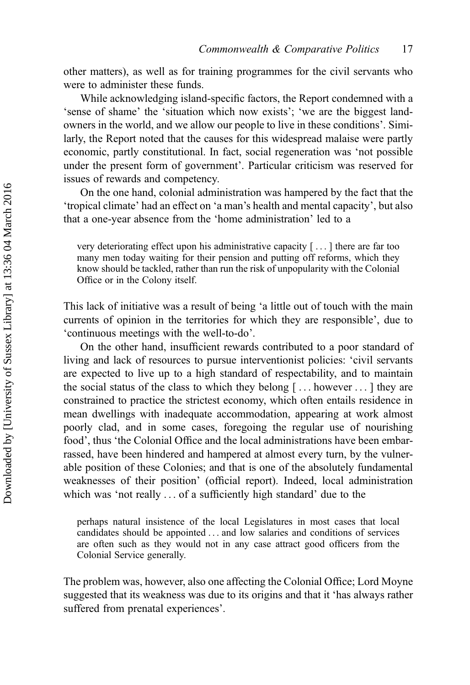other matters), as well as for training programmes for the civil servants who were to administer these funds.

While acknowledging island-specific factors, the Report condemned with a 'sense of shame' the 'situation which now exists'; 'we are the biggest landowners in the world, and we allow our people to live in these conditions'. Similarly, the Report noted that the causes for this widespread malaise were partly economic, partly constitutional. In fact, social regeneration was 'not possible under the present form of government'. Particular criticism was reserved for issues of rewards and competency.

On the one hand, colonial administration was hampered by the fact that the 'tropical climate' had an effect on 'a man's health and mental capacity', but also that a one-year absence from the 'home administration' led to a

very deteriorating effect upon his administrative capacity [ ... ] there are far too many men today waiting for their pension and putting off reforms, which they know should be tackled, rather than run the risk of unpopularity with the Colonial Office or in the Colony itself.

This lack of initiative was a result of being 'a little out of touch with the main currents of opinion in the territories for which they are responsible', due to 'continuous meetings with the well-to-do'.

On the other hand, insufficient rewards contributed to a poor standard of living and lack of resources to pursue interventionist policies: 'civil servants are expected to live up to a high standard of respectability, and to maintain the social status of the class to which they belong [ ... however ... ] they are constrained to practice the strictest economy, which often entails residence in mean dwellings with inadequate accommodation, appearing at work almost poorly clad, and in some cases, foregoing the regular use of nourishing food', thus 'the Colonial Office and the local administrations have been embarrassed, have been hindered and hampered at almost every turn, by the vulnerable position of these Colonies; and that is one of the absolutely fundamental weaknesses of their position' (official report). Indeed, local administration which was 'not really ... of a sufficiently high standard' due to the

perhaps natural insistence of the local Legislatures in most cases that local candidates should be appointed ... and low salaries and conditions of services are often such as they would not in any case attract good officers from the Colonial Service generally.

The problem was, however, also one affecting the Colonial Office; Lord Moyne suggested that its weakness was due to its origins and that it 'has always rather suffered from prenatal experiences'.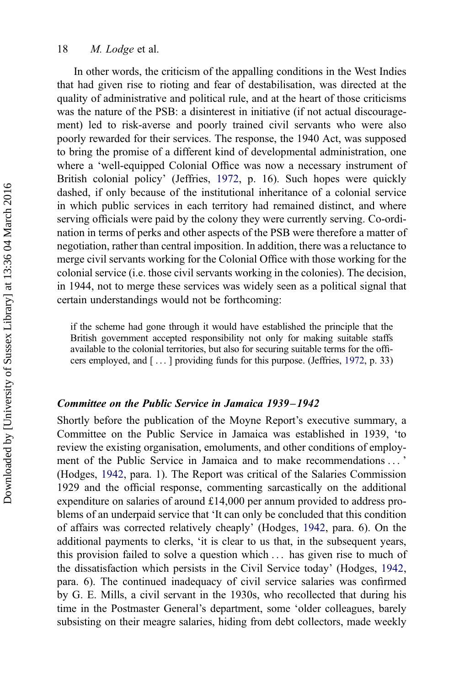In other words, the criticism of the appalling conditions in the West Indies that had given rise to rioting and fear of destabilisation, was directed at the quality of administrative and political rule, and at the heart of those criticisms was the nature of the PSB: a disinterest in initiative (if not actual discouragement) led to risk-averse and poorly trained civil servants who were also poorly rewarded for their services. The response, the 1940 Act, was supposed to bring the promise of a different kind of developmental administration, one where a 'well-equipped Colonial Office was now a necessary instrument of British colonial policy' (Jeffries, [1972](#page-20-0), p. 16). Such hopes were quickly dashed, if only because of the institutional inheritance of a colonial service in which public services in each territory had remained distinct, and where serving officials were paid by the colony they were currently serving. Co-ordination in terms of perks and other aspects of the PSB were therefore a matter of negotiation, rather than central imposition. In addition, there was a reluctance to merge civil servants working for the Colonial Office with those working for the colonial service (i.e. those civil servants working in the colonies). The decision, in 1944, not to merge these services was widely seen as a political signal that certain understandings would not be forthcoming:

if the scheme had gone through it would have established the principle that the British government accepted responsibility not only for making suitable staffs available to the colonial territories, but also for securing suitable terms for the officers employed, and [ ... ] providing funds for this purpose. (Jeffries, [1972](#page-20-0), p. 33)

#### Committee on the Public Service in Jamaica 1939– 1942

Shortly before the publication of the Moyne Report's executive summary, a Committee on the Public Service in Jamaica was established in 1939, 'to review the existing organisation, emoluments, and other conditions of employment of the Public Service in Jamaica and to make recommendations ... ' (Hodges, [1942](#page-20-0), para. 1). The Report was critical of the Salaries Commission 1929 and the official response, commenting sarcastically on the additional expenditure on salaries of around £14,000 per annum provided to address problems of an underpaid service that 'It can only be concluded that this condition of affairs was corrected relatively cheaply' (Hodges, [1942](#page-20-0), para. 6). On the additional payments to clerks, 'it is clear to us that, in the subsequent years, this provision failed to solve a question which ... has given rise to much of the dissatisfaction which persists in the Civil Service today' (Hodges, [1942](#page-20-0), para. 6). The continued inadequacy of civil service salaries was confirmed by G. E. Mills, a civil servant in the 1930s, who recollected that during his time in the Postmaster General's department, some 'older colleagues, barely subsisting on their meagre salaries, hiding from debt collectors, made weekly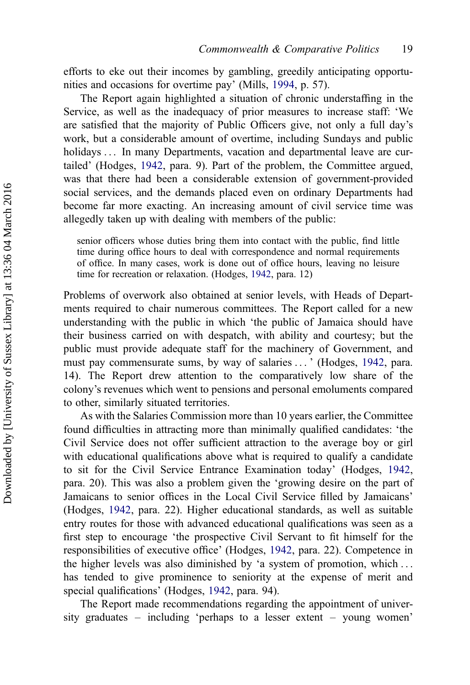efforts to eke out their incomes by gambling, greedily anticipating opportunities and occasions for overtime pay' (Mills, [1994,](#page-20-0) p. 57).

The Report again highlighted a situation of chronic understaffing in the Service, as well as the inadequacy of prior measures to increase staff: 'We are satisfied that the majority of Public Officers give, not only a full day's work, but a considerable amount of overtime, including Sundays and public holidays ... In many Departments, vacation and departmental leave are curtailed' (Hodges, [1942](#page-20-0), para. 9). Part of the problem, the Committee argued, was that there had been a considerable extension of government-provided social services, and the demands placed even on ordinary Departments had become far more exacting. An increasing amount of civil service time was allegedly taken up with dealing with members of the public:

senior officers whose duties bring them into contact with the public, find little time during office hours to deal with correspondence and normal requirements of office. In many cases, work is done out of office hours, leaving no leisure time for recreation or relaxation. (Hodges, [1942,](#page-20-0) para. 12)

Problems of overwork also obtained at senior levels, with Heads of Departments required to chair numerous committees. The Report called for a new understanding with the public in which 'the public of Jamaica should have their business carried on with despatch, with ability and courtesy; but the public must provide adequate staff for the machinery of Government, and must pay commensurate sums, by way of salaries ... ' (Hodges, [1942](#page-20-0), para. 14). The Report drew attention to the comparatively low share of the colony's revenues which went to pensions and personal emoluments compared to other, similarly situated territories.

As with the Salaries Commission more than 10 years earlier, the Committee found difficulties in attracting more than minimally qualified candidates: 'the Civil Service does not offer sufficient attraction to the average boy or girl with educational qualifications above what is required to qualify a candidate to sit for the Civil Service Entrance Examination today' (Hodges, [1942](#page-20-0), para. 20). This was also a problem given the 'growing desire on the part of Jamaicans to senior offices in the Local Civil Service filled by Jamaicans' (Hodges, [1942,](#page-20-0) para. 22). Higher educational standards, as well as suitable entry routes for those with advanced educational qualifications was seen as a first step to encourage 'the prospective Civil Servant to fit himself for the responsibilities of executive office' (Hodges, [1942,](#page-20-0) para. 22). Competence in the higher levels was also diminished by 'a system of promotion, which ... has tended to give prominence to seniority at the expense of merit and special qualifications' (Hodges, [1942,](#page-20-0) para. 94).

The Report made recommendations regarding the appointment of university graduates – including 'perhaps to a lesser extent – young women'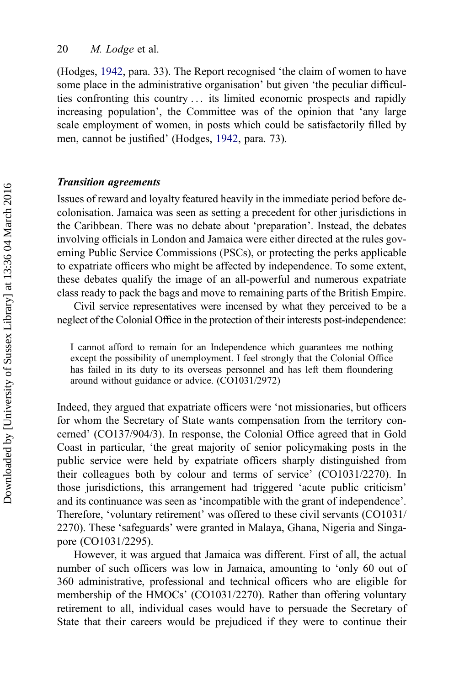(Hodges, [1942,](#page-20-0) para. 33). The Report recognised 'the claim of women to have some place in the administrative organisation' but given 'the peculiar difficulties confronting this country ... its limited economic prospects and rapidly increasing population', the Committee was of the opinion that 'any large scale employment of women, in posts which could be satisfactorily filled by men, cannot be justified' (Hodges, [1942,](#page-20-0) para. 73).

#### Transition agreements

Issues of reward and loyalty featured heavily in the immediate period before decolonisation. Jamaica was seen as setting a precedent for other jurisdictions in the Caribbean. There was no debate about 'preparation'. Instead, the debates involving officials in London and Jamaica were either directed at the rules governing Public Service Commissions (PSCs), or protecting the perks applicable to expatriate officers who might be affected by independence. To some extent, these debates qualify the image of an all-powerful and numerous expatriate class ready to pack the bags and move to remaining parts of the British Empire.

Civil service representatives were incensed by what they perceived to be a neglect of the Colonial Office in the protection of their interests post-independence:

I cannot afford to remain for an Independence which guarantees me nothing except the possibility of unemployment. I feel strongly that the Colonial Office has failed in its duty to its overseas personnel and has left them floundering around without guidance or advice. (CO1031/2972)

Indeed, they argued that expatriate officers were 'not missionaries, but officers for whom the Secretary of State wants compensation from the territory concerned' (CO137/904/3). In response, the Colonial Office agreed that in Gold Coast in particular, 'the great majority of senior policymaking posts in the public service were held by expatriate officers sharply distinguished from their colleagues both by colour and terms of service' (CO1031/2270). In those jurisdictions, this arrangement had triggered 'acute public criticism' and its continuance was seen as 'incompatible with the grant of independence'. Therefore, 'voluntary retirement' was offered to these civil servants (CO1031/ 2270). These 'safeguards' were granted in Malaya, Ghana, Nigeria and Singapore (CO1031/2295).

However, it was argued that Jamaica was different. First of all, the actual number of such officers was low in Jamaica, amounting to 'only 60 out of 360 administrative, professional and technical officers who are eligible for membership of the HMOCs' (CO1031/2270). Rather than offering voluntary retirement to all, individual cases would have to persuade the Secretary of State that their careers would be prejudiced if they were to continue their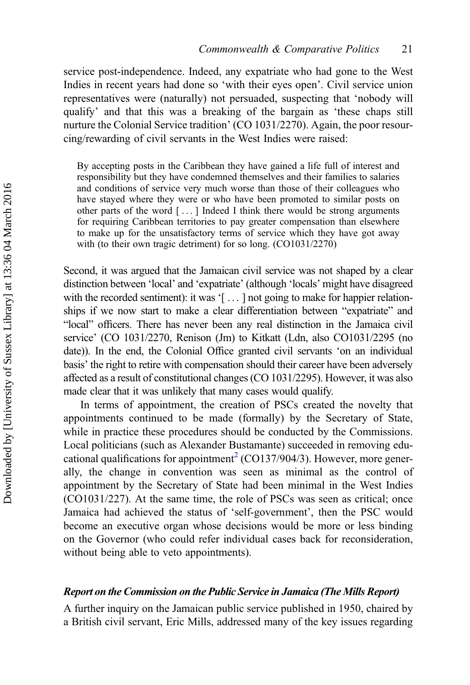service post-independence. Indeed, any expatriate who had gone to the West Indies in recent years had done so 'with their eyes open'. Civil service union representatives were (naturally) not persuaded, suspecting that 'nobody will qualify' and that this was a breaking of the bargain as 'these chaps still nurture the Colonial Service tradition' (CO 1031/2270). Again, the poor resourcing/rewarding of civil servants in the West Indies were raised:

By accepting posts in the Caribbean they have gained a life full of interest and responsibility but they have condemned themselves and their families to salaries and conditions of service very much worse than those of their colleagues who have stayed where they were or who have been promoted to similar posts on other parts of the word [ ... ] Indeed I think there would be strong arguments for requiring Caribbean territories to pay greater compensation than elsewhere to make up for the unsatisfactory terms of service which they have got away with (to their own tragic detriment) for so long. (CO1031/2270)

Second, it was argued that the Jamaican civil service was not shaped by a clear distinction between 'local' and 'expatriate' (although 'locals' might have disagreed with the recorded sentiment): it was '[...] not going to make for happier relationships if we now start to make a clear differentiation between "expatriate" and "local" officers. There has never been any real distinction in the Jamaica civil service' (CO 1031/2270, Renison (Jm) to Kitkatt (Ldn, also CO1031/2295 (no date)). In the end, the Colonial Office granted civil servants 'on an individual basis' the right to retire with compensation should their career have been adversely affected as a result of constitutional changes (CO 1031/2295). However, it was also made clear that it was unlikely that many cases would qualify.

In terms of appointment, the creation of PSCs created the novelty that appointments continued to be made (formally) by the Secretary of State, while in practice these procedures should be conducted by the Commissions. Local politicians (such as Alexander Bustamante) succeeded in removing edu-cational qualifications for appointment<sup>[2](#page-20-0)</sup> (CO137/904/3). However, more generally, the change in convention was seen as minimal as the control of appointment by the Secretary of State had been minimal in the West Indies (CO1031/227). At the same time, the role of PSCs was seen as critical; once Jamaica had achieved the status of 'self-government', then the PSC would become an executive organ whose decisions would be more or less binding on the Governor (who could refer individual cases back for reconsideration, without being able to veto appointments).

#### Report on the Commission on the Public Service in Jamaica (The Mills Report)

A further inquiry on the Jamaican public service published in 1950, chaired by a British civil servant, Eric Mills, addressed many of the key issues regarding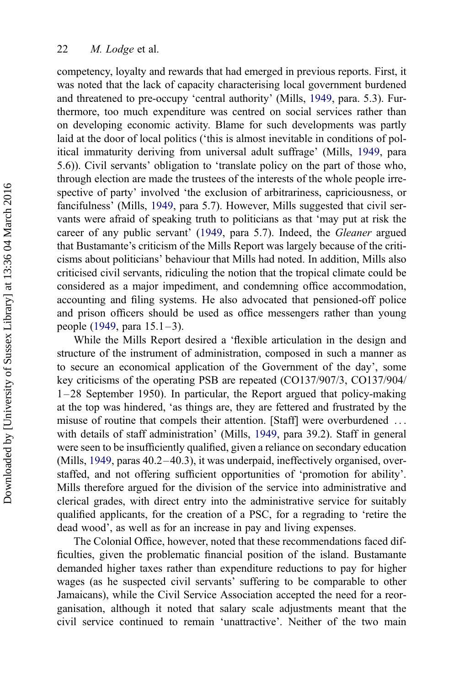competency, loyalty and rewards that had emerged in previous reports. First, it was noted that the lack of capacity characterising local government burdened and threatened to pre-occupy 'central authority' (Mills, [1949](#page-20-0), para. 5.3). Furthermore, too much expenditure was centred on social services rather than on developing economic activity. Blame for such developments was partly laid at the door of local politics ('this is almost inevitable in conditions of political immaturity deriving from universal adult suffrage' (Mills, [1949](#page-20-0), para 5.6)). Civil servants' obligation to 'translate policy on the part of those who, through election are made the trustees of the interests of the whole people irrespective of party' involved 'the exclusion of arbitrariness, capriciousness, or fancifulness' (Mills, [1949,](#page-20-0) para 5.7). However, Mills suggested that civil servants were afraid of speaking truth to politicians as that 'may put at risk the career of any public servant' ([1949,](#page-20-0) para 5.7). Indeed, the *Gleaner* argued that Bustamante's criticism of the Mills Report was largely because of the criticisms about politicians' behaviour that Mills had noted. In addition, Mills also criticised civil servants, ridiculing the notion that the tropical climate could be considered as a major impediment, and condemning office accommodation, accounting and filing systems. He also advocated that pensioned-off police and prison officers should be used as office messengers rather than young people ([1949,](#page-20-0) para  $15.1-3$ ).

While the Mills Report desired a 'flexible articulation in the design and structure of the instrument of administration, composed in such a manner as to secure an economical application of the Government of the day', some key criticisms of the operating PSB are repeated (CO137/907/3, CO137/904/ 1 –28 September 1950). In particular, the Report argued that policy-making at the top was hindered, 'as things are, they are fettered and frustrated by the misuse of routine that compels their attention. [Staff] were overburdened ... with details of staff administration' (Mills, [1949](#page-20-0), para 39.2). Staff in general were seen to be insufficiently qualified, given a reliance on secondary education (Mills, [1949,](#page-20-0) paras 40.2–40.3), it was underpaid, ineffectively organised, overstaffed, and not offering sufficient opportunities of 'promotion for ability'. Mills therefore argued for the division of the service into administrative and clerical grades, with direct entry into the administrative service for suitably qualified applicants, for the creation of a PSC, for a regrading to 'retire the dead wood', as well as for an increase in pay and living expenses.

The Colonial Office, however, noted that these recommendations faced difficulties, given the problematic financial position of the island. Bustamante demanded higher taxes rather than expenditure reductions to pay for higher wages (as he suspected civil servants' suffering to be comparable to other Jamaicans), while the Civil Service Association accepted the need for a reorganisation, although it noted that salary scale adjustments meant that the civil service continued to remain 'unattractive'. Neither of the two main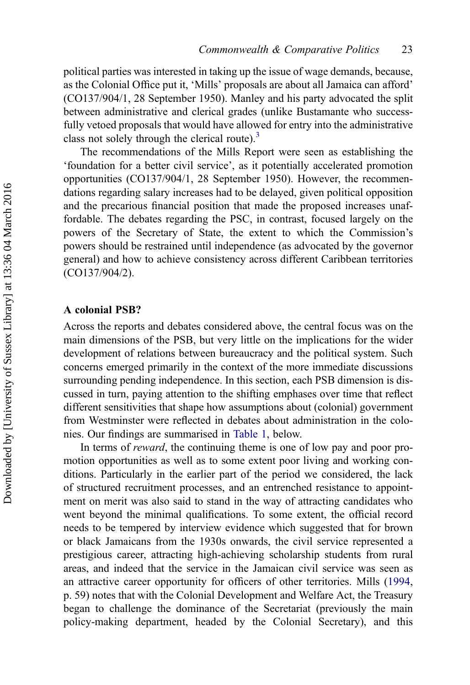political parties was interested in taking up the issue of wage demands, because, as the Colonial Office put it, 'Mills' proposals are about all Jamaica can afford' (CO137/904/1, 28 September 1950). Manley and his party advocated the split between administrative and clerical grades (unlike Bustamante who successfully vetoed proposals that would have allowed for entry into the administrative class not solely through the clerical route).<sup>[3](#page-20-0)</sup>

The recommendations of the Mills Report were seen as establishing the 'foundation for a better civil service', as it potentially accelerated promotion opportunities (CO137/904/1, 28 September 1950). However, the recommendations regarding salary increases had to be delayed, given political opposition and the precarious financial position that made the proposed increases unaffordable. The debates regarding the PSC, in contrast, focused largely on the powers of the Secretary of State, the extent to which the Commission's powers should be restrained until independence (as advocated by the governor general) and how to achieve consistency across different Caribbean territories (CO137/904/2).

#### A colonial PSB?

Across the reports and debates considered above, the central focus was on the main dimensions of the PSB, but very little on the implications for the wider development of relations between bureaucracy and the political system. Such concerns emerged primarily in the context of the more immediate discussions surrounding pending independence. In this section, each PSB dimension is discussed in turn, paying attention to the shifting emphases over time that reflect different sensitivities that shape how assumptions about (colonial) government from Westminster were reflected in debates about administration in the colonies. Our findings are summarised in Table 1, below.

In terms of *reward*, the continuing theme is one of low pay and poor promotion opportunities as well as to some extent poor living and working conditions. Particularly in the earlier part of the period we considered, the lack of structured recruitment processes, and an entrenched resistance to appointment on merit was also said to stand in the way of attracting candidates who went beyond the minimal qualifications. To some extent, the official record needs to be tempered by interview evidence which suggested that for brown or black Jamaicans from the 1930s onwards, the civil service represented a prestigious career, attracting high-achieving scholarship students from rural areas, and indeed that the service in the Jamaican civil service was seen as an attractive career opportunity for officers of other territories. Mills [\(1994](#page-20-0), p. 59) notes that with the Colonial Development and Welfare Act, the Treasury began to challenge the dominance of the Secretariat (previously the main policy-making department, headed by the Colonial Secretary), and this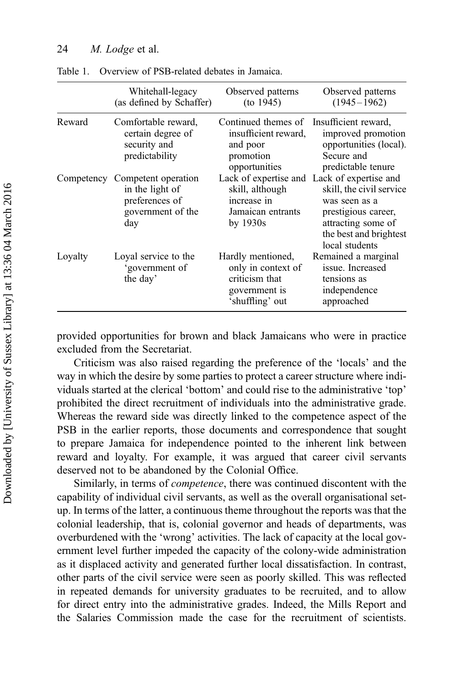|            | Whitehall-legacy<br>(as defined by Schaffer)                                         | Observed patterns<br>(to 1945)                                                                | Observed patterns<br>$(1945 - 1962)$                                                                                                                                              |
|------------|--------------------------------------------------------------------------------------|-----------------------------------------------------------------------------------------------|-----------------------------------------------------------------------------------------------------------------------------------------------------------------------------------|
| Reward     | Comfortable reward,<br>certain degree of<br>security and<br>predictability           | Continued themes of<br>insufficient reward,<br>and poor<br>promotion<br>opportunities         | Insufficient reward,<br>improved promotion<br>opportunities (local).<br>Secure and<br>predictable tenure                                                                          |
| Competency | Competent operation<br>in the light of<br>preferences of<br>government of the<br>day | skill, although<br>increase in<br>Jamaican entrants<br>by $1930s$                             | Lack of expertise and Lack of expertise and<br>skill, the civil service<br>was seen as a<br>prestigious career,<br>attracting some of<br>the best and brightest<br>local students |
| Loyalty    | Loyal service to the<br>'government of<br>the day'                                   | Hardly mentioned,<br>only in context of<br>criticism that<br>government is<br>'shuffling' out | Remained a marginal<br>issue. Increased<br>tensions as<br>independence<br>approached                                                                                              |

Table 1. Overview of PSB-related debates in Jamaica.

provided opportunities for brown and black Jamaicans who were in practice excluded from the Secretariat.

Criticism was also raised regarding the preference of the 'locals' and the way in which the desire by some parties to protect a career structure where individuals started at the clerical 'bottom' and could rise to the administrative 'top' prohibited the direct recruitment of individuals into the administrative grade. Whereas the reward side was directly linked to the competence aspect of the PSB in the earlier reports, those documents and correspondence that sought to prepare Jamaica for independence pointed to the inherent link between reward and loyalty. For example, it was argued that career civil servants deserved not to be abandoned by the Colonial Office.

Similarly, in terms of *competence*, there was continued discontent with the capability of individual civil servants, as well as the overall organisational setup. In terms of the latter, a continuous theme throughout the reports was that the colonial leadership, that is, colonial governor and heads of departments, was overburdened with the 'wrong' activities. The lack of capacity at the local government level further impeded the capacity of the colony-wide administration as it displaced activity and generated further local dissatisfaction. In contrast, other parts of the civil service were seen as poorly skilled. This was reflected in repeated demands for university graduates to be recruited, and to allow for direct entry into the administrative grades. Indeed, the Mills Report and the Salaries Commission made the case for the recruitment of scientists.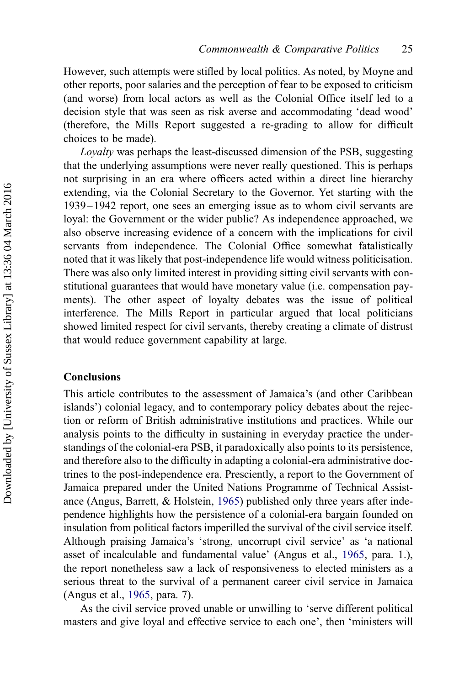<span id="page-19-0"></span>However, such attempts were stifled by local politics. As noted, by Moyne and other reports, poor salaries and the perception of fear to be exposed to criticism (and worse) from local actors as well as the Colonial Office itself led to a decision style that was seen as risk averse and accommodating 'dead wood' (therefore, the Mills Report suggested a re-grading to allow for difficult choices to be made).

*Loyalty* was perhaps the least-discussed dimension of the PSB, suggesting that the underlying assumptions were never really questioned. This is perhaps not surprising in an era where officers acted within a direct line hierarchy extending, via the Colonial Secretary to the Governor. Yet starting with the 1939 – 1942 report, one sees an emerging issue as to whom civil servants are loyal: the Government or the wider public? As independence approached, we also observe increasing evidence of a concern with the implications for civil servants from independence. The Colonial Office somewhat fatalistically noted that it was likely that post-independence life would witness politicisation. There was also only limited interest in providing sitting civil servants with constitutional guarantees that would have monetary value (i.e. compensation payments). The other aspect of loyalty debates was the issue of political interference. The Mills Report in particular argued that local politicians showed limited respect for civil servants, thereby creating a climate of distrust that would reduce government capability at large.

#### Conclusions

This article contributes to the assessment of Jamaica's (and other Caribbean islands') colonial legacy, and to contemporary policy debates about the rejection or reform of British administrative institutions and practices. While our analysis points to the difficulty in sustaining in everyday practice the understandings of the colonial-era PSB, it paradoxically also points to its persistence, and therefore also to the difficulty in adapting a colonial-era administrative doctrines to the post-independence era. Presciently, a report to the Government of Jamaica prepared under the United Nations Programme of Technical Assistance (Angus, Barrett, & Holstein, [1965\)](#page-20-0) published only three years after independence highlights how the persistence of a colonial-era bargain founded on insulation from political factors imperilled the survival of the civil service itself. Although praising Jamaica's 'strong, uncorrupt civil service' as 'a national asset of incalculable and fundamental value' (Angus et al., [1965](#page-20-0), para. 1.), the report nonetheless saw a lack of responsiveness to elected ministers as a serious threat to the survival of a permanent career civil service in Jamaica (Angus et al., [1965](#page-20-0), para. 7).

As the civil service proved unable or unwilling to 'serve different political masters and give loyal and effective service to each one', then 'ministers will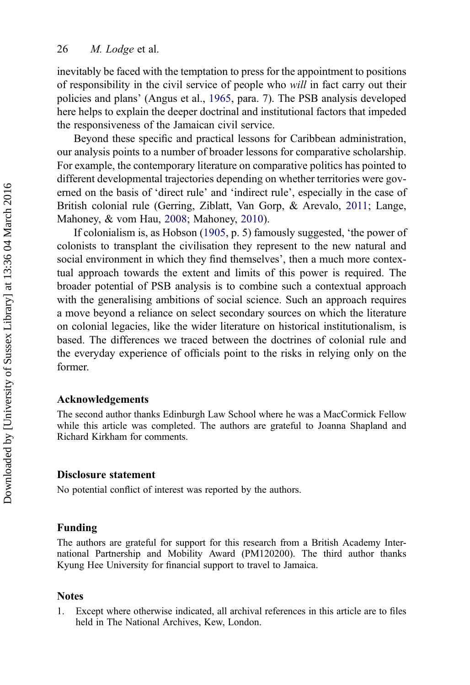<span id="page-20-0"></span>inevitably be faced with the temptation to press for the appointment to positions of responsibility in the civil service of people who *will* in fact carry out their policies and plans' (Angus et al., 1965, para. 7). The PSB analysis developed here helps to explain the deeper doctrinal and institutional factors that impeded the responsiveness of the Jamaican civil service.

Beyond these specific and practical lessons for Caribbean administration, our analysis points to a number of broader lessons for comparative scholarship. For example, the contemporary literature on comparative politics has pointed to different developmental trajectories depending on whether territories were governed on the basis of 'direct rule' and 'indirect rule', especially in the case of British colonial rule (Gerring, Ziblatt, Van Gorp, & Arevalo, 2011; Lange, Mahoney, & vom Hau, 2008; Mahoney, 2010).

If colonialism is, as Hobson (1905, p. 5) famously suggested, 'the power of colonists to transplant the civilisation they represent to the new natural and social environment in which they find themselves', then a much more contextual approach towards the extent and limits of this power is required. The broader potential of PSB analysis is to combine such a contextual approach with the generalising ambitions of social science. Such an approach requires a move beyond a reliance on select secondary sources on which the literature on colonial legacies, like the wider literature on historical institutionalism, is based. The differences we traced between the doctrines of colonial rule and the everyday experience of officials point to the risks in relying only on the former.

#### Acknowledgements

The second author thanks Edinburgh Law School where he was a MacCormick Fellow while this article was completed. The authors are grateful to Joanna Shapland and Richard Kirkham for comments.

#### Disclosure statement

No potential conflict of interest was reported by the authors.

#### Funding

The authors are grateful for support for this research from a British Academy International Partnership and Mobility Award (PM120200). The third author thanks Kyung Hee University for financial support to travel to Jamaica.

#### Notes

1. Except where otherwise indicated, all archival references in this article are to files held in The National Archives, Kew, London.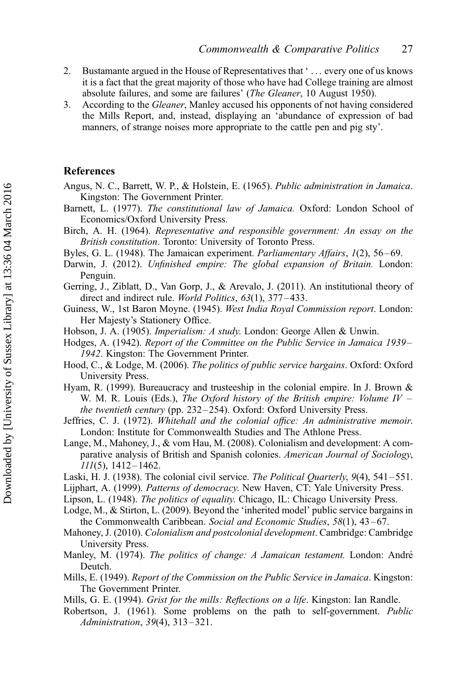- <span id="page-21-0"></span>2. Bustamante argued in the House of Representatives that ' ... every one of us knows it is a fact that the great majority of those who have had College training are almost absolute failures, and some are failures' (*The Gleaner*, 10 August 1950).
- 3. According to the *Gleaner*, Manley accused his opponents of not having considered the Mills Report, and, instead, displaying an 'abundance of expression of bad manners, of strange noises more appropriate to the cattle pen and pig sty'.

#### **References**

- Angus, N. C., Barrett, W. P., & Holstein, E. (1965). *Public administration in Jamaica*. Kingston: The Government Printer.
- Barnett, L. (1977). *The constitutional law of Jamaica.* Oxford: London School of Economics/Oxford University Press.
- Birch, A. H. (1964). *Representative and responsible government: An essay on the British constitution*. Toronto: University of Toronto Press.
- Byles, G. L. (1948). The Jamaican experiment. *Parliamentary Affairs*, *1*(2), 56 –69.
- Darwin, J. (2012). *Unfinished empire: The global expansion of Britain.* London: Penguin.
- Gerring, J., Ziblatt, D., Van Gorp, J., & Arevalo, J. (2011). An institutional theory of direct and indirect rule. *World Politics*, *63*(1), 377 –433.
- Guiness, W., 1st Baron Moyne. (1945). *West India Royal Commission report*. London: Her Majesty's Stationery Office.
- Hobson, J. A. (1905). *Imperialism: A study*. London: George Allen & Unwin.
- Hodges, A. (1942). *Report of the Committee on the Public Service in Jamaica 1939– 1942*. Kingston: The Government Printer.
- Hood, C., & Lodge, M. (2006). *The politics of public service bargains*. Oxford: Oxford University Press.
- Hyam, R. (1999). Bureaucracy and trusteeship in the colonial empire. In J. Brown & W. M. R. Louis (Eds.), *The Oxford history of the British empire: Volume IV – the twentieth century* (pp. 232 –254). Oxford: Oxford University Press.
- Jeffries, C. J. (1972). *Whitehall and the colonial office: An administrative memoir*. London: Institute for Commonwealth Studies and The Athlone Press.
- Lange, M., Mahoney, J., & vom Hau, M. (2008). Colonialism and development: A comparative analysis of British and Spanish colonies. *American Journal of Sociology*, *111*(5), 1412– 1462.
- Laski, H. J. (1938). The colonial civil service. *The Political Quarterly*, *9*(4), 541 –551.
- Lijphart, A. (1999). *Patterns of democracy*. New Haven, CT: Yale University Press.
- Lipson, L. (1948). *The politics of equality*. Chicago, IL: Chicago University Press.

Lodge, M., & Stirton, L. (2009). Beyond the 'inherited model' public service bargains in the Commonwealth Caribbean. *Social and Economic Studies*, *58*(1), 43–67.

- Mahoney, J. (2010). *Colonialism and postcolonial development*. Cambridge: Cambridge University Press.
- Manley, M. (1974). *The politics of change: A Jamaican testament*. London: André Deutch.
- Mills, E. (1949). *Report of the Commission on the Public Service in Jamaica*. Kingston: The Government Printer.
- Mills, G. E. (1994). *Grist for the mills: Reflections on a life*. Kingston: Ian Randle.
- Robertson, J. (1961). Some problems on the path to self-government. *Public Administration*, *39*(4), 313 –321.